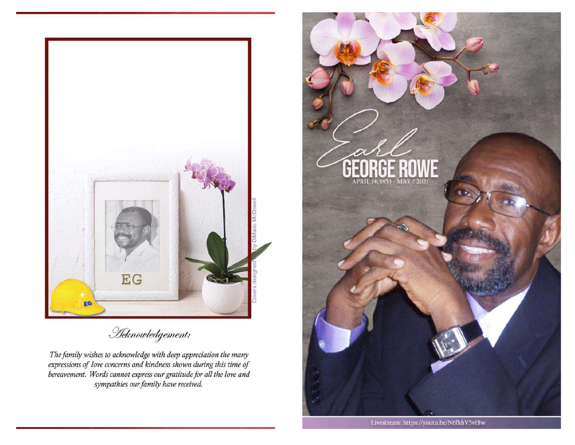

Heknowledgement:

The family wishes to acknowledge with deep appreciation the many expressions of love concerns and kindness shown during this time of bereavement. Words cannot express our gratitude for all the love and sympathies our family have received.



Livestream: https://youtu.be/N6fhhV5vIBw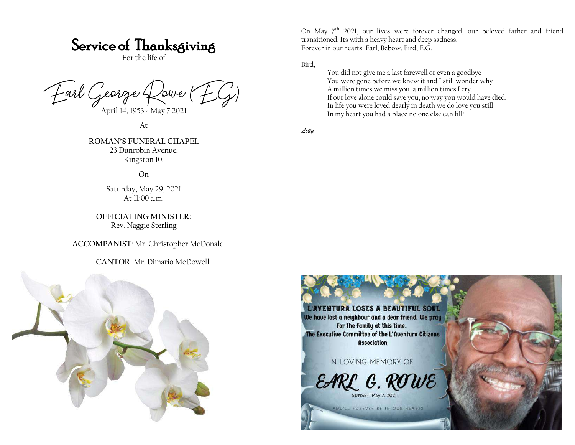# Service of Thanksgiving

For the life of

Farl George Dowe ( April 14, 1953 - May 7 2021

At

**ROMAN'S FUNERAL CHAPEL** 23 Dunrobin Avenue, Kingston 10.

On

Saturday, May 29, 2021 At 11:00 a.m.

**OFFICIATING MINISTER**: Rev. Naggie Sterling

 **ACCOMPANIST**: Mr. Christopher McDonald

 **CANTOR**: Mr. Dimario McDowell



On May 7<sup>th</sup> 2021, our lives were forever changed, our beloved father and friend transitioned. Its with a heavy heart and deep sadness. Forever in our hearts: Earl, Bebow, Bird, E.G.

Bird,

You did not give me a last farewell or even a goodbye You were gone before we knew it and I still wonder why A million times we miss you, a million times I cry. If our love alone could save you, no way you would have died. In life you were loved dearly in death we do love you still In my heart you had a place no one else can fill!

*Lolly*

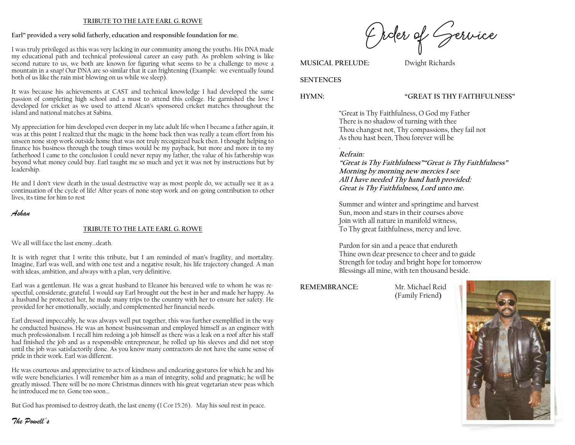### **TRIBUTE TO THE LATE EARL G. ROWE**

**Earl" provided a very solid fatherly, education and responsible foundation for me.**

I was truly privileged as this was very lacking in our community among the youths. His DNA made my educational path and technical professional career an easy path. As problem solving is like second nature to us, we both are known for figuring what seems to be a challenge to move a mountain in a snap! Our DNA are so similar that it can frightening (Example: we eventually found both of us like the rain mist blowing on us while we sleep).

It was because his achievements at CAST and technical knowledge I had developed the same passion of completing high school and a must to attend this college. He garnished the love I developed for cricket as we used to attend Alcan's sponsored cricket matches throughout the island and national matches at Sabina.

My appreciation for him developed even deeper in my late adult life when I became a father again, it was at this point I realized that the magic in the home back then was really a team effort from his unseen none stop work outside home that was not truly recognized back then. I thought helping to finance his business through the tough times would be my payback, but more and more in to my fatherhood I came to the conclusion I could never repay my father, the value of his fathership was beyond what money could buy. Earl taught me so much and yet it was not by instructions but by leadership.

He and I don't view death in the usual destructive way as most people do, we actually see it as a continuation of the cycle of life! After years of none stop work and on-going contribution to other lives, its time for him to rest

### *Ashan*

### **TRIBUTE TO THE LATE EARL G. ROWE**

We all will face the last enemy…death.

It is with regret that I write this tribute, but I am reminded of man's fragility, and mortality. Imagine, Earl was well, and with one test and a negative result, his life trajectory changed. A man with ideas, ambition, and always with a plan, very definitive.

Earl was a gentleman. He was a great husband to Eleanor his bereaved wife to whom he was respectful, considerate, grateful. I would say Earl brought out the best in her and made her happy. As a husband he protected her, he made many trips to the country with her to ensure her safety. He provided for her emotionally, socially, and complemented her financial needs.

Earl dressed impeccably, he was always well put together, this was further exemplified in the way he conducted business. He was an honest businessman and employed himself as an engineer with much professionalism. I recall him redoing a job himself as there was a leak on a roof after his staff had finished the job and as a responsible entrepreneur, he rolled up his sleeves and did not stop until the job was satisfactorily done. As you know many contractors do not have the same sense of pride in their work. Earl was different.

He was courteous and appreciative to acts of kindness and endearing gestures for which he and his wife were beneficiaries. I will remember him as a man of integrity, solid and pragmatic; he will be greatly missed. There will be no more Christmas dinners with his great vegetarian stew peas which he introduced me to. Gone too soon…

But God has promised to destroy death, the last enemy (1 Cor 15:26). May his soul rest in peace.

Order of Service

**MUSICAL PRELUDE:** Dwight Richards

### **SENTENCES**

### **HYMN: "GREAT IS THY FAITHFULNESS"**

"Great is Thy Faithfulness, O God my Father There is no shadow of turning with thee Thou changest not, Thy compassions, they fail not As thou hast been, Thou forever will be

### . **Refrain:**

**"Great is Thy Faithfulness""Great is Thy Faithfulness" Morning by morning new mercies I see All I have needed Thy hand hath provided: Great is Thy Faithfulness, Lord unto me.**

Summer and winter and springtime and harvest Sun, moon and stars in their courses above Join with all nature in manifold witness, To Thy great faithfulness, mercy and love.

Pardon for sin and a peace that endureth Thine own dear presence to cheer and to guide Strength for today and bright hope for tomorrow Blessings all mine, with ten thousand beside.

**REMEMBRANCE:** Mr. Michael Reid

(Family Friend**)**



*The Powell's*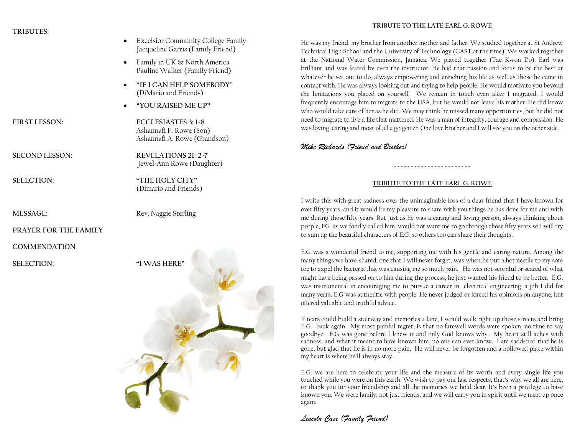| <b>TRIBUTES:</b>      |                                                                                       |
|-----------------------|---------------------------------------------------------------------------------------|
|                       | <b>Excelsior Community College Family</b><br>Jacqueline Garris (Family Friend)        |
|                       | Family in UK & North America<br>Pauline Walker (Family Friend)                        |
|                       | "IF I CAN HELP SOMEBODY"<br>(DiMario and Friends)                                     |
|                       | "YOU RAISED ME UP"                                                                    |
| <b>FIRST LESSON:</b>  | <b>ECCLESIASTES 3: 1-8</b><br>Ashannafi F. Rowe (Son)<br>Ashannafi A. Rowe (Grandson) |
| <b>SECOND LESSON:</b> | REVELATIONS 21: 2-7<br>Jewel-Ann Rowe (Daughter)                                      |
| <b>SELECTION:</b>     | "THE HOLY CITY"<br>(Dimario and Friends)                                              |
| <b>MESSAGE:</b>       | Rev. Naggie Sterling                                                                  |
| PRAYER FOR THE FAMILY |                                                                                       |
| <b>COMMENDATION</b>   |                                                                                       |
| <b>SELECTION:</b>     | "I WAS HERE"                                                                          |
|                       |                                                                                       |

The

### **TRIBUTE TO THE LATE EARL G. ROWE**

He was my friend, my brother from another mother and father. We studied together at St Andrew Technical High School and the University of Technology (CAST at the time). We worked together at the National Water Commission, Jamaica. We played together (Tae Kwon Do). Earl was brilliant and was feared by even the instructor. He had that passion and focus to be the best at whatever he set out to do, always empowering and enriching his life as well as those he came in contact with. He was always looking out and trying to help people. He would motivate you beyond the limitations you placed on yourself. We remain in touch even after I migrated. I would frequently encourage him to migrate to the USA, but he would not leave his mother. He did know who would take care of her as he did. We may think he missed many opportunities, but he did not need to migrate to live a life that mattered. He was a man of integrity, courage and compassion. He was loving, caring and most of all a go getter. One love brother and I will see you on the other side.

# *Mike Richards (Friend and Brother)*

### **TRIBUTE TO THE LATE EARL G. ROWE**

**~ ~ ~ ~ ~ ~ ~ ~ ~ ~ ~ ~ ~ ~ ~ ~ ~ ~ ~ ~ ~ ~ ~** 

I write this with great sadness over the unimaginable loss of a dear friend that I have known for over fifty years, and it would be my pleasure to share with you things he has done for me and with me during those fifty years. But just as he was a caring and loving person, always thinking about people, EG, as we fondly called him, would not want me to go through those fifty years so I will try to sum up the beautiful characters of E.G. so others too can share their thoughts.

E.G was a wonderful friend to me, supporting me with his gentle and caring nature. Among the many things we have shared, one that I will never forget, was when he put a hot needle to my sore toe to expel the bacteria that was causing me so much pain. He was not scornful or scared of what might have being passed on to him during the process, he just wanted his friend to be better. E.G. was instrumental in encouraging me to pursue a career in electrical engineering, a job I did for many years. E.G was authentic with people. He never judged or forced his opinions on anyone, but offered valuable and truthful advice.

If tears could build a stairway and memories a lane, I would walk right up those streets and bring E.G. back again. My most painful regret, is that no farewell words were spoken, no time to say goodbye. E.G was gone before I knew it and only God knows why. My heart still aches with sadness, and what it meant to have known him, no one can ever know. I am saddened that he is gone, but glad that he is in no more pain. He will never be forgotten and a hollowed place within my heart is where he'll always stay.

E.G. we are here to celebrate your life and the measure of its worth and every single life you touched while you were on this earth. We wish to pay our last respects, that's why we all are here, to thank you for your friendship and all the memories we hold dear. It's been a privilege to have known you. We were family, not just friends, and we will carry you in spirit until we meet up once again.

*Lincoln Case (Family Friend)*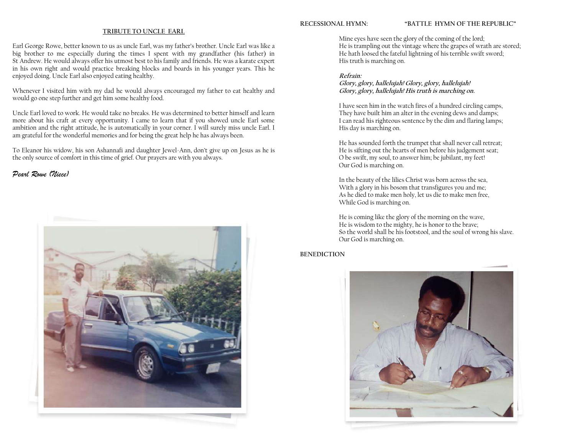### **TRIBUTE TO UNCLE EARL**

Earl George Rowe, better known to us as uncle Earl, was my father's brother. Uncle Earl was like a big brother to me especially during the times I spent with my grandfather (his father) in St Andrew. He would always offer his utmost best to his family and friends. He was a karate expert in his own right and would practice breaking blocks and boards in his younger years. This he enjoyed doing. Uncle Earl also enjoyed eating healthy.

Whenever I visited him with my dad he would always encouraged my father to eat healthy and would go one step further and get him some healthy food.

Uncle Earl loved to work. He would take no breaks. He was determined to better himself and learn more about his craft at every opportunity. I came to learn that if you showed uncle Earl some ambition and the right attitude, he is automatically in your corner. I will surely miss uncle Earl. I am grateful for the wonderful memories and for being the great help he has always been.

To Eleanor his widow, his son Ashannafi and daughter Jewel-Ann, don't give up on Jesus as he is the only source of comfort in this time of grief. Our prayers are with you always.

*Pearl Rowe (Niece)*



**RECESSIONAL HYMN: "BATTLE HYMN OF THE REPUBLIC"** 

Mine eyes have seen the glory of the coming of the lord; He is trampling out the vintage where the grapes of wrath are stored; He hath loosed the fateful lightning of his terrible swift sword; His truth is marching on.

### **Refrain:**

**Glory, glory, hallelujah! Glory, glory, hallelujah! Glory, glory, hallelujah! His truth is marching on.**

I have seen him in the watch fires of a hundred circling camps, They have built him an alter in the evening dews and damps; I can read his righteous sentence by the dim and flaring lamps; His day is marching on.

He has sounded forth the trumpet that shall never call retreat; He is sifting out the hearts of men before his judgement seat; O be swift, my soul, to answer him; be jubilant, my feet! Our God is marching on.

In the beauty of the lilies Christ was born across the sea, With a glory in his bosom that transfigures you and me; As he died to make men holy, let us die to make men free, While God is marching on.

He is coming like the glory of the morning on the wave, He is wisdom to the mighty, he is honor to the brave; So the world shall be his footstool, and the soul of wrong his slave. Our God is marching on.

### **BENEDICTION**

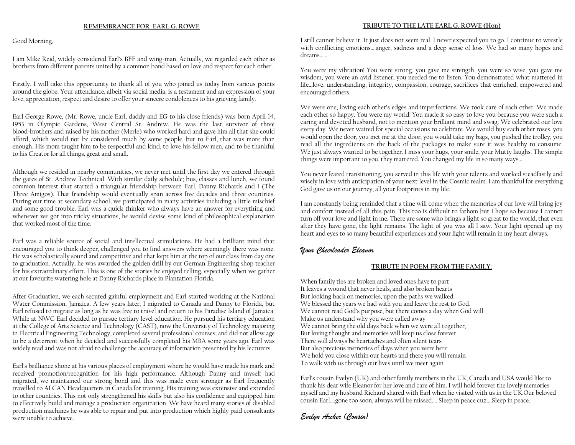### **REMEMBRANCE FOR EARL G. ROWE**

### Good Morning,

I am Mike Reid, widely considered Earl's BFF and wing-man. Actually, we regarded each other as brothers from different parents united by a common bond based on love and respect for each other.

Firstly, I will take this opportunity to thank all of you who joined us today from various points around the globe. Your attendance, albeit via social media, is a testament and an expression of your love, appreciation, respect and desire to offer your sincere condolences to his grieving family.

Earl George Rowe, (Mr. Rowe, uncle Earl, daddy and EG to his close friends) was born April 14, 1953 in Olympic Gardens, West Central St. Andrew. He was the last survivor of three blood-brothers and raised by his mother (Merle) who worked hard and gave him all that she could afford, which would not be considered much by some people, but to Earl, that was more than enough. His mom taught him to be respectful and kind, to love his fellow men, and to be thankful to his Creator for all things, great and small.

Although we resided in nearby communities, we never met until the first day we entered through the gates of St. Andrew Technical. With similar daily schedule; bus, classes and lunch, we found common interest that started a triangular friendship between Earl, Danny Richards and I (The Three Amigos). That friendship would eventually span across five decades and three countries. During our time at secondary school, we participated in many activities including a little mischief and some good trouble. Earl was a quick thinker who always have an answer for everything and whenever we got into tricky situations, he would devise some kind of philosophical explanation that worked most of the time.

Earl was a reliable source of social and intellectual stimulations. He had a brilliant mind that encouraged you to think deeper, challenged you to find answers where seemingly there was none. He was scholastically sound and competitive and that kept him at the top of our class from day one to graduation. Actually, he was awarded the golden drill by our German Engineering shop teacher for his extraordinary effort. This is one of the stories he enjoyed telling, especially when we gather at our favourite watering hole at Danny Richards place in Plantation Florida.

After Graduation, we each secured gainful employment and Earl started working at the National Water Commission, Jamaica. A few years later, I migrated to Canada and Danny to Florida, but Earl refused to migrate as long as he was free to travel and return to his Paradise Island of Jamaica. While at NWC Earl decided to pursue tertiary level education. He pursued his tertiary education at the College of Arts Science and Technology (CAST), now the University of Technology majoring in Electrical Engineering Technology, completed several professional courses, and did not allow age to be a deterrent when he decided and successfully completed his MBA some years ago. Earl was widely read and was not afraid to challenge the accuracy of information presented by his lecturers.

Earl's brilliance shone at his various places of employment where he would have made his mark and received promotion/recognition for his high performance. Although Danny and myself had migrated, we maintained our strong bond and this was made even stronger as EarI frequently travelled to ALCAN Headquarters in Canada for training. His training was extensive and extended to other countries. This not only strengthened his skills but also his confidence and equipped him to effectively build and manage a production organization. We have heard many stories of disabled production machines he was able to repair and put into production which highly paid consultants were unable to achieve.

### **TRIBUTE TO THE LATE EARL G. ROWE (Hon)**

I still cannot believe it. It just does not seem real. I never expected you to go. I continue to wrestle with conflicting emotions….anger, sadness and a deep sense of loss. We had so many hopes and dreams……

You were my vibration! You were strong, you gave me strength, you were so wise, you gave me wisdom, you were an avid listener, you needed me to listen. You demonstrated what mattered in life…love, understanding, integrity, compassion, courage, sacrifices that enriched, empowered and encouraged others.

We were one, loving each other's edges and imperfections. We took care of each other. We made each other so happy. You were my world! You made it so easy to love you because you were such a caring and devoted husband, not to mention your brilliant mind and swag. We celebrated our love every day. We never waited for special occasions to celebrate. We would buy each other roses, you would open the door, you met me at the door, you would take my bags, you pushed the trolley, you read all the ingredients on the back of the packages to make sure it was healthy to consume. We just always wanted to be together. I miss your hugs, your smile, your Mutty laughs. The simple things were important to you, they mattered. You changed my life in so many ways…

You never feared transitioning, you served in this life with your talents and worked steadfastly and wisely in love with anticipation of your next level in the Cosmic realm. I am thankful for everything God gave us on our journey, all your footprints in my life.

I am constantly being reminded that a time will come when the memories of our love will bring joy and comfort instead of all this pain. This too is difficult to fathom but I hope so because I cannot turn off your love and light in me. There are some who brings a light so great to the world, that even after they have gone, the light remains. The light of you was all I saw. Your light opened up my heart and eyes to so many beautiful experiences and your light will remain in my heart always.

## *Your Cheerleader Eleanor*

### **TRIBUTE IN POEM FROM THE FAMILY:**

When family ties are broken and loved ones have to part It leaves a wound that never heals, and also broken hearts But looking back on memories, upon the paths we walked We blessed the years we had with you and leave the rest to God. We cannot read God's purpose, but there comes a day when God will Make us understand why you were called away We cannot bring the old days back when we were all together, But loving thought and memories will keep us close forever There will always be heartaches and often silent tears But also precious memories of days when you were here We hold you close within our hearts and there you will remain To walk with us through our lives until we meet again

Earl's cousin Evelyn (UK) and other family members in the UK, Canada and USA would like to thank his dear wife Eleanor for her love and care of him. I will hold forever the lovely memories myself and my husband Richard shared with Earl when he visited with us in the UK.Our beloved cousin Earl….gone too soon, always will be missed…. Sleep in peace cuz….Sleep in peace.

# *Evelyn Archer (Cousin)*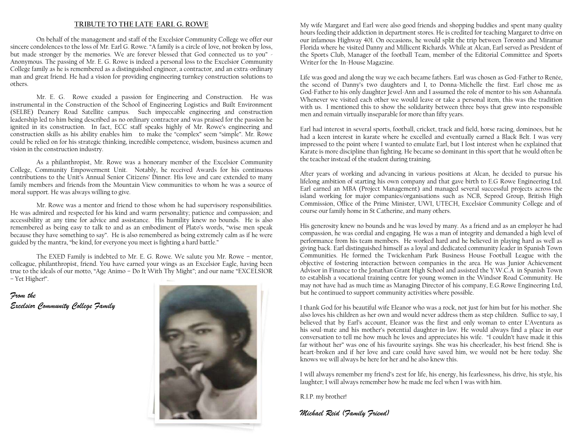### **TRIBUTE TO THE LATE EARL G. ROWE**

On behalf of the management and staff of the Excelsior Community College we offer our sincere condolences to the loss of Mr. Earl G. Rowe. "A family is a circle of love, not broken by loss, but made stronger by the memories. We are forever blessed that God connected us to you" - Anonymous. The passing of Mr. E. G. Rowe is indeed a personal loss to the Excelsior Community College family as he is remembered as a distinguished engineer, a contractor, and an extra-ordinary man and great friend. He had a vision for providing engineering turnkey construction solutions to others.

Mr. E. G. Rowe exuded a passion for Engineering and Construction. He was instrumental in the Construction of the School of Engineering Logistics and Built Environment (SELBE) Deanery Road Satellite campus. Such impeccable engineering and construction leadership led to him being described as no ordinary contractor and was praised for the passion he ignited in its construction. In fact, ECC staff speaks highly of Mr. Rowe's engineering and construction skills as his ability enables him to make the "complex" seem "simple". Mr. Rowe could be relied on for his strategic thinking, incredible competence, wisdom, business acumen and vision in the construction industry.

As a philanthropist, Mr. Rowe was a honorary member of the Excelsior Community College, Community Empowerment Unit. Notably, he received Awards for his continuous contributions to the Unit's Annual Senior Citizens' Dinner. His love and care extended to many family members and friends from the Mountain View communities to whom he was a source of moral support. He was always willing to give.

Mr. Rowe was a mentor and friend to those whom he had supervisory responsibilities. He was admired and respected for his kind and warm personality; patience and compassion; and accessibility at any time for advice and assistance. His humility knew no bounds. He is also remembered as being easy to talk to and as an embodiment of Plato's words, "wise men speak because they have something to say". He is also remembered as being extremely calm as if he were guided by the mantra, "be kind, for everyone you meet is fighting a hard battle."

The EXED Family is indebted to Mr. E. G. Rowe. We salute you Mr. Rowe – mentor, colleague, philanthropist, friend. You have earned your wings as an Excelsior Eagle, having been true to the ideals of our motto, "Age Animo – Do It With Thy Might"; and our name "EXCELSIOR – Yet Higher!".

*From the Excelsior Community College Family* 



My wife Margaret and Earl were also good friends and shopping buddies and spent many quality hours feeding their addiction in department stores. He is credited for teaching Margaret to drive on our infamous Highway 401. On occasions, he would split the trip between Toronto and Miramar Florida where he visited Danny and Millicent Richards. While at Alcan, Earl served as President of the Sports Club, Manager of the football Team, member of the Editorial Committee and Sports Writer for the In-House Magazine.

Life was good and along the way we each became fathers. Earl was chosen as God-Father to Renée, the second of Danny's two daughters and I, to Donna-Michelle the first. Earl chose me as God-Father to his only daughter Jewel-Ann and I assumed the role of mentor to his son Ashannafa. Whenever we visited each other we would leave or take a personal item, this was the tradition with us. I mentioned this to show the solidarity between three boys that grew into responsible men and remain virtually inseparable for more than fifty years.

Earl had interest in several sports, football, cricket, track and field, horse racing, dominoes, but he had a keen interest in karate where he excelled and eventually earned a Black Belt. I was very impressed to the point where I wanted to emulate Earl, but I lost interest when he explained that Karate is more discipline than fighting. He became so dominant in this sport that he would often be the teacher instead of the student during training.

After years of working and advancing in various positions at Alcan, he decided to pursue his lifelong ambition of starting his own company and that gave birth to E.G Rowe Engineering Ltd. Earl earned an MBA (Project Management) and managed several successful projects across the island working for major companies/organisations such as NCB, Seprod Group, British High Commission, Office of the Prime Minister, UWI, UTECH, Excelsior Community College and of course our family home in St Catherine, and many others.

His generosity knew no bounds and he was loved by many. As a friend and as an employer he had compassion, he was cordial and engaging. He was a man of integrity and demanded a high level of performance from his team members. He worked hard and he believed in playing hard as well as giving back. Earl distinguished himself as a loyal and dedicated community leader in Spanish Town Communities. He formed the Twickenham Park Business House Football League with the objective of fostering interaction between companies in the area. He was Junior Achievement Advisor in Finance to the Jonathan Grant High School and assisted the Y.W.C.A in Spanish Town to establish a vocational training centre for young women in the Windsor Road Community. He may not have had as much time as Managing Director of his company, E.G.Rowe Engineering Ltd, but he continued to support community activities where possible.

I thank God for his beautiful wife Eleanor who was a rock, not just for him but for his mother. She also loves his children as her own and would never address them as step children. Suffice to say, I believed that by Earl's account, Eleanor was the first and only woman to enter L'Aventura as his soul-mate and his mother's potential daughter-in-law. He would always find a place in our conversation to tell me how much he loves and appreciates his wife. "I couldn't have made it this far without her" was one of his favourite sayings. She was his cheerleader, his best friend. She is heart-broken and if her love and care could have saved him, we would not be here today. She knows we will always be here for her and he also knew this.

I will always remember my friend's zest for life, his energy, his fearlessness, his drive, his style, his laughter; I will always remember how he made me feel when I was with him.

R.I.P. my brother!

*Michael Reid (Family Friend)*